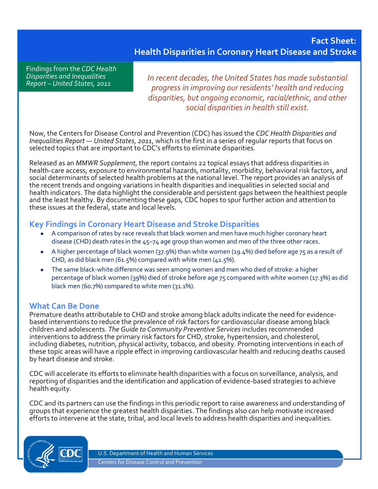# **Fact Sheet: Health Disparities in Coronary Heart Disease and Stroke**

Findings from the *CDC Health Disparities and Inequalities Report – United States, 2011*

*In recent decades, the United States has made substantial progress in improving our residents' health and reducing disparities, but ongoing economic, racial/ethnic, and other social disparities in health still exist.*

Now, the Centers for Disease Control and Prevention (CDC) has issued the *CDC Health Disparities and Inequalities Report — United States, 2011*, which is the first in a series of regular reports that focus on selected topics that are important to CDC's efforts to eliminate disparities.

Released as an *MMWR Supplement*, the report contains 22 topical essays that address disparities in health-care access, exposure to environmental hazards, mortality, morbidity, behavioral risk factors, and social determinants of selected health problems at the national level. The report provides an analysis of the recent trends and ongoing variations in health disparities and inequalities in selected social and health indicators. The data highlight the considerable and persistent gaps between the healthiest people and the least healthy. By documenting these gaps, CDC hopes to spur further action and attention to these issues at the federal, state and local levels.

### **Key Findings in Coronary Heart Disease and Stroke Disparities**

- A comparison of rates by race reveals that black women and men have much higher coronary heart disease (CHD) death rates in the 45–74 age group than women and men of the three other races.
- A higher percentage of black women (37.9%) than white women (19.4%) died before age 75 as a result of CHD, as did black men (61.5%) compared with white men (41.5%).
- The same black-white difference was seen among women and men who died of stroke: a higher percentage of black women (39%) died of stroke before age 75 compared with white women (17.3%) as did black men (60.7%) compared to white men (31.1%).

### **What Can Be Done**

Premature deaths attributable to CHD and stroke among black adults indicate the need for evidencebased interventions to reduce the prevalence of risk factors for cardiovascular disease among black children and adolescents. *The Guide to Community Preventive Services* includes recommended interventions to address the primary risk factors for CHD, stroke, hypertension, and cholesterol, including diabetes, nutrition, physical activity, tobacco, and obesity. Promoting interventions in each of these topic areas will have a ripple effect in improving cardiovascular health and reducing deaths caused by heart disease and stroke.

CDC will accelerate its efforts to eliminate health disparities with a focus on surveillance, analysis, and reporting of disparities and the identification and application of evidence-based strategies to achieve health equity.

CDC and its partners can use the findings in this periodic report to raise awareness and understanding of groups that experience the greatest health disparities. The findings also can help motivate increased efforts to intervene at the state, tribal, and local levels to address health disparities and inequalities.



U.S. Department of Health and Human Services Centers for Disease Control and Prevention